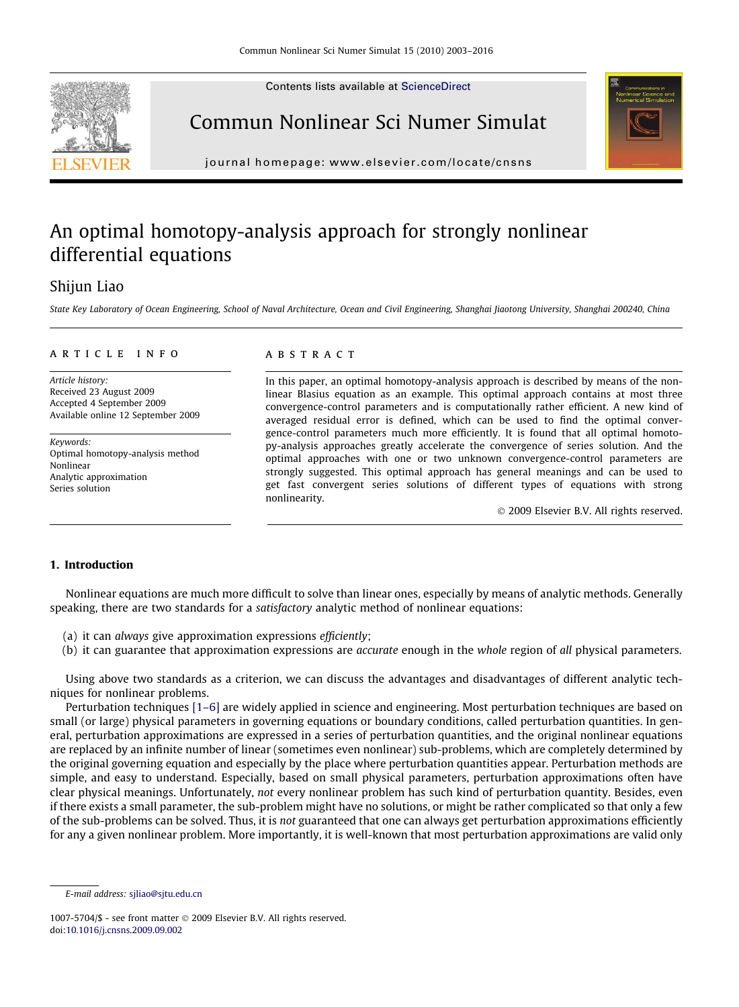Contents lists available at [ScienceDirect](http://www.sciencedirect.com/science/journal/10075704)





journal homepage: [www.elsevier.com/locate/cnsns](http://www.elsevier.com/locate/cnsns)

# An optimal homotopy-analysis approach for strongly nonlinear differential equations

# Shijun Liao

State Key Laboratory of Ocean Engineering, School of Naval Architecture, Ocean and Civil Engineering, Shanghai Jiaotong University, Shanghai 200240, China

### article info

Article history: Received 23 August 2009 Accepted 4 September 2009 Available online 12 September 2009

Keywords: Optimal homotopy-analysis method Nonlinear Analytic approximation Series solution

# **ABSTRACT**

In this paper, an optimal homotopy-analysis approach is described by means of the nonlinear Blasius equation as an example. This optimal approach contains at most three convergence-control parameters and is computationally rather efficient. A new kind of averaged residual error is defined, which can be used to find the optimal convergence-control parameters much more efficiently. It is found that all optimal homotopy-analysis approaches greatly accelerate the convergence of series solution. And the optimal approaches with one or two unknown convergence-control parameters are strongly suggested. This optimal approach has general meanings and can be used to get fast convergent series solutions of different types of equations with strong nonlinearity.

- 2009 Elsevier B.V. All rights reserved.

# 1. Introduction

Nonlinear equations are much more difficult to solve than linear ones, especially by means of analytic methods. Generally speaking, there are two standards for a satisfactory analytic method of nonlinear equations:

- (a) it can always give approximation expressions efficiently;
- (b) it can guarantee that approximation expressions are accurate enough in the whole region of all physical parameters.

Using above two standards as a criterion, we can discuss the advantages and disadvantages of different analytic techniques for nonlinear problems.

Perturbation techniques [\[1–6\]](#page-12-0) are widely applied in science and engineering. Most perturbation techniques are based on small (or large) physical parameters in governing equations or boundary conditions, called perturbation quantities. In general, perturbation approximations are expressed in a series of perturbation quantities, and the original nonlinear equations are replaced by an infinite number of linear (sometimes even nonlinear) sub-problems, which are completely determined by the original governing equation and especially by the place where perturbation quantities appear. Perturbation methods are simple, and easy to understand. Especially, based on small physical parameters, perturbation approximations often have clear physical meanings. Unfortunately, not every nonlinear problem has such kind of perturbation quantity. Besides, even if there exists a small parameter, the sub-problem might have no solutions, or might be rather complicated so that only a few of the sub-problems can be solved. Thus, it is not guaranteed that one can always get perturbation approximations efficiently for any a given nonlinear problem. More importantly, it is well-known that most perturbation approximations are valid only

1007-5704/\$ - see front matter © 2009 Elsevier B.V. All rights reserved. doi:[10.1016/j.cnsns.2009.09.002](http://dx.doi.org/10.1016/j.cnsns.2009.09.002)

E-mail address: [sjliao@sjtu.edu.cn](mailto:sjliao@sjtu.edu.cn)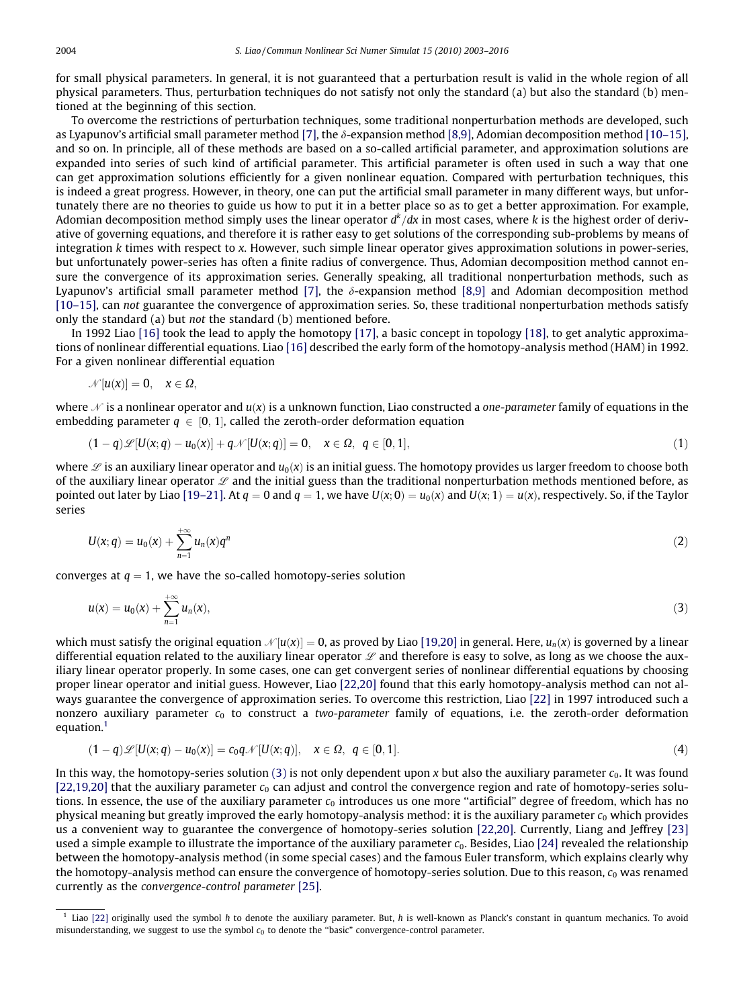for small physical parameters. In general, it is not guaranteed that a perturbation result is valid in the whole region of all physical parameters. Thus, perturbation techniques do not satisfy not only the standard (a) but also the standard (b) mentioned at the beginning of this section.

To overcome the restrictions of perturbation techniques, some traditional nonperturbation methods are developed, such as Lyapunov's artificial small parameter method [\[7\]](#page-13-0), the  $\delta$ -expansion method [\[8,9\]](#page-13-0), Adomian decomposition method [\[10–15\],](#page-13-0) and so on. In principle, all of these methods are based on a so-called artificial parameter, and approximation solutions are expanded into series of such kind of artificial parameter. This artificial parameter is often used in such a way that one can get approximation solutions efficiently for a given nonlinear equation. Compared with perturbation techniques, this is indeed a great progress. However, in theory, one can put the artificial small parameter in many different ways, but unfortunately there are no theories to guide us how to put it in a better place so as to get a better approximation. For example, Adomian decomposition method simply uses the linear operator  $d^k/dx$  in most cases, where k is the highest order of derivative of governing equations, and therefore it is rather easy to get solutions of the corresponding sub-problems by means of integration k times with respect to x. However, such simple linear operator gives approximation solutions in power-series, but unfortunately power-series has often a finite radius of convergence. Thus, Adomian decomposition method cannot ensure the convergence of its approximation series. Generally speaking, all traditional nonperturbation methods, such as Lyapunov's artificial small parameter method [\[7\],](#page-13-0) the  $\delta$ -expansion method [\[8,9\]](#page-13-0) and Adomian decomposition method [\[10–15\],](#page-13-0) can not guarantee the convergence of approximation series. So, these traditional nonperturbation methods satisfy only the standard (a) but not the standard (b) mentioned before.

In 1992 Liao [\[16\]](#page-13-0) took the lead to apply the homotopy [\[17\]](#page-13-0), a basic concept in topology [\[18\]](#page-13-0), to get analytic approximations of nonlinear differential equations. Liao [\[16\]](#page-13-0) described the early form of the homotopy-analysis method (HAM) in 1992. For a given nonlinear differential equation

$$
\mathcal{N}[u(x)] = 0, \quad x \in \Omega,
$$

where  $\mathcal N$  is a nonlinear operator and  $u(x)$  is a unknown function, Liao constructed a one-parameter family of equations in the embedding parameter  $q \, \in \, [0, \, 1]$ , called the zeroth-order deformation equation

$$
(1-q)\mathscr{L}[U(x;q)-u_0(x)]+q\mathscr{N}[U(x;q)]=0, \quad x\in\Omega, \ \ q\in[0,1], \tag{1}
$$

where  $\mathscr L$  is an auxiliary linear operator and  $u_0(x)$  is an initial guess. The homotopy provides us larger freedom to choose both of the auxiliary linear operator  $\mathscr L$  and the initial guess than the traditional nonperturbation methods mentioned before, as pointed out later by Liao [\[19–21\].](#page-13-0) At  $q = 0$  and  $q = 1$ , we have  $U(x; 0) = u_0(x)$  and  $U(x; 1) = u(x)$ , respectively. So, if the Taylor series

$$
U(x; q) = u_0(x) + \sum_{n=1}^{+\infty} u_n(x)q^n
$$
 (2)

converges at  $q = 1$ , we have the so-called homotopy-series solution

$$
u(x) = u_0(x) + \sum_{n=1}^{+\infty} u_n(x),
$$
\n(3)

which must satisfy the original equation  $\mathscr N[u(x)]=0$ , as proved by Liao [\[19,20\]](#page-13-0) in general. Here,  $u_n(x)$  is governed by a linear differential equation related to the auxiliary linear operator  $\mathscr L$  and therefore is easy to solve, as long as we choose the auxiliary linear operator properly. In some cases, one can get convergent series of nonlinear differential equations by choosing proper linear operator and initial guess. However, Liao [\[22,20\]](#page-13-0) found that this early homotopy-analysis method can not always guarantee the convergence of approximation series. To overcome this restriction, Liao [\[22\]](#page-13-0) in 1997 introduced such a nonzero auxiliary parameter  $c_0$  to construct a two-parameter family of equations, i.e. the zeroth-order deformation equation.<sup>1</sup>

$$
(1-q)\mathscr{L}[U(x;q) - u_0(x)] = c_0 q \mathscr{N}[U(x;q)], \quad x \in \Omega, \quad q \in [0,1]. \tag{4}
$$

In this way, the homotopy-series solution (3) is not only dependent upon x but also the auxiliary parameter  $c_0$ . It was found [\[22,19,20\]](#page-13-0) that the auxiliary parameter  $c_0$  can adjust and control the convergence region and rate of homotopy-series solutions. In essence, the use of the auxiliary parameter  $c_0$  introduces us one more "artificial" degree of freedom, which has no physical meaning but greatly improved the early homotopy-analysis method: it is the auxiliary parameter  $c_0$  which provides us a convenient way to guarantee the convergence of homotopy-series solution [\[22,20\]](#page-13-0). Currently, Liang and Jeffrey [\[23\]](#page-13-0) used a simple example to illustrate the importance of the auxiliary parameter  $c_0$ . Besides, Liao [\[24\]](#page-13-0) revealed the relationship between the homotopy-analysis method (in some special cases) and the famous Euler transform, which explains clearly why the homotopy-analysis method can ensure the convergence of homotopy-series solution. Due to this reason,  $c_0$  was renamed currently as the convergence-control parameter [\[25\]](#page-13-0).

 $<sup>1</sup>$  Liao [\[22\]](#page-13-0) originally used the symbol h to denote the auxiliary parameter. But, h is well-known as Planck's constant in quantum mechanics. To avoid</sup> misunderstanding, we suggest to use the symbol  $c<sub>0</sub>$  to denote the "basic" convergence-control parameter.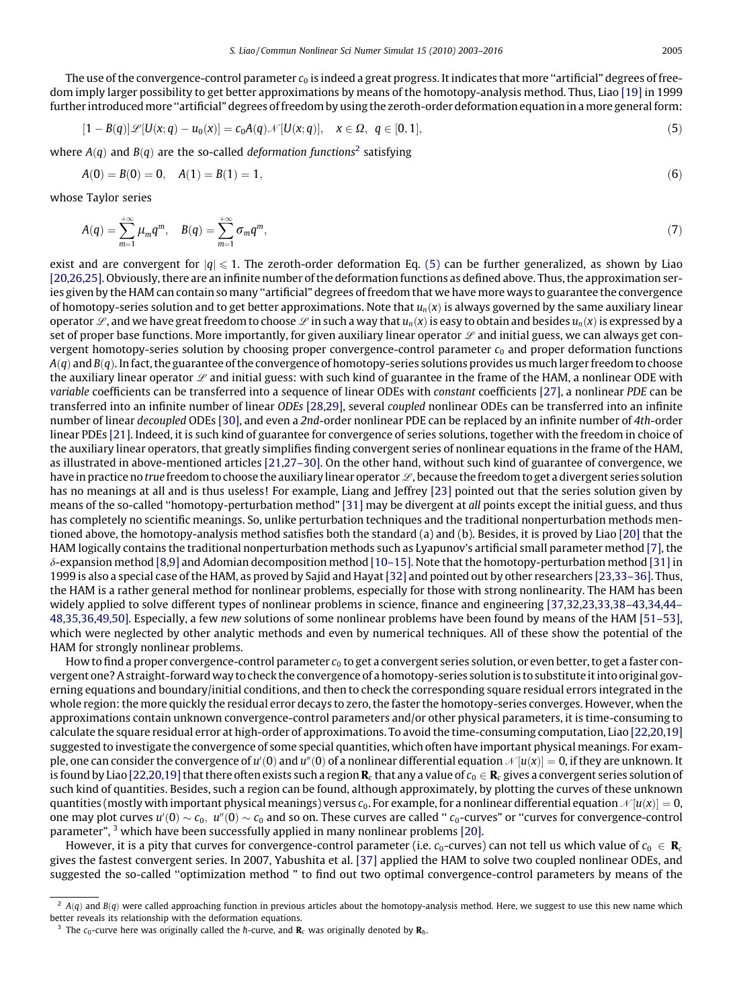<span id="page-2-0"></span>The use of the convergence-control parameter  $c_0$  is indeed a great progress. It indicates that more "artificial" degrees of freedom imply larger possibility to get better approximations by means of the homotopy-analysis method. Thus, Liao [\[19\]](#page-13-0) in 1999 further introduced more "artificial" degrees of freedom by using the zeroth-order deformation equation in a more general form:

$$
[1 - B(q)]\mathscr{L}[U(x; q) - u_0(x)] = c_0 A(q)\mathscr{N}[U(x; q)], \quad x \in \Omega, \quad q \in [0, 1], \tag{5}
$$

where  $A(q)$  and  $B(q)$  are the so-called *deformation functions<sup>2</sup>* satisfying

$$
A(0) = B(0) = 0, \quad A(1) = B(1) = 1,\tag{6}
$$

whose Taylor series

$$
A(q) = \sum_{m=1}^{+\infty} \mu_m q^m, \quad B(q) = \sum_{m=1}^{+\infty} \sigma_m q^m,
$$
 (7)

exist and are convergent for  $|q| \leq 1$ . The zeroth-order deformation Eq. (5) can be further generalized, as shown by Liao [\[20,26,25\]](#page-13-0). Obviously, there are an infinite number of the deformation functions as defined above. Thus, the approximation series given by the HAM can contain so many ''artificial" degrees of freedom that we have more ways to guarantee the convergence of homotopy-series solution and to get better approximations. Note that  $u_n(x)$  is always governed by the same auxiliary linear operator  $\mathscr{L}$ , and we have great freedom to choose  $\mathscr{L}$  in such a way that  $u_n(x)$  is easy to obtain and besides  $u_n(x)$  is expressed by a set of proper base functions. More importantly, for given auxiliary linear operator  $\mathscr L$  and initial guess, we can always get convergent homotopy-series solution by choosing proper convergence-control parameter  $c_0$  and proper deformation functions  $A(q)$  and  $B(q)$ . In fact, the guarantee of the convergence of homotopy-series solutions provides us much larger freedom to choose the auxiliary linear operator  $\mathscr L$  and initial guess: with such kind of guarantee in the frame of the HAM, a nonlinear ODE with variable coefficients can be transferred into a sequence of linear ODEs with constant coefficients [\[27\]](#page-13-0), a nonlinear PDE can be transferred into an infinite number of linear ODEs [\[28,29\],](#page-13-0) several coupled nonlinear ODEs can be transferred into an infinite number of linear decoupled ODEs [\[30\]](#page-13-0), and even a 2nd-order nonlinear PDE can be replaced by an infinite number of 4th-order linear PDEs [\[21\]](#page-13-0). Indeed, it is such kind of guarantee for convergence of series solutions, together with the freedom in choice of the auxiliary linear operators, that greatly simplifies finding convergent series of nonlinear equations in the frame of the HAM, as illustrated in above-mentioned articles [\[21,27–30\].](#page-13-0) On the other hand, without such kind of guarantee of convergence, we have in practice no true freedom to choose the auxiliary linear operator  $\mathscr L$ , because the freedom to get a divergent series solution has no meanings at all and is thus useless! For example, Liang and Jeffrey [\[23\]](#page-13-0) pointed out that the series solution given by means of the so-called ''homotopy-perturbation method" [\[31\]](#page-13-0) may be divergent at all points except the initial guess, and thus has completely no scientific meanings. So, unlike perturbation techniques and the traditional nonperturbation methods mentioned above, the homotopy-analysis method satisfies both the standard (a) and (b). Besides, it is proved by Liao [\[20\]](#page-13-0) that the HAM logically contains the traditional nonperturbation methods such as Lyapunov's artificial small parameter method [\[7\]](#page-13-0), the  $\delta$ -expansion method [\[8,9\]](#page-13-0) and Adomian decomposition method [\[10–15\].](#page-13-0) Note that the homotopy-perturbation method [\[31\]](#page-13-0) in 1999 is also a special case of the HAM, as proved by Sajid and Hayat [\[32\]](#page-13-0) and pointed out by other researchers [\[23,33–36\].](#page-13-0) Thus, the HAM is a rather general method for nonlinear problems, especially for those with strong nonlinearity. The HAM has been widely applied to solve different types of nonlinear problems in science, finance and engineering [\[37,32,23,33,38–43,34,44–](#page-13-0) [48,35,36,49,50\].](#page-13-0) Especially, a few new solutions of some nonlinear problems have been found by means of the HAM [\[51–53\]](#page-13-0), which were neglected by other analytic methods and even by numerical techniques. All of these show the potential of the HAM for strongly nonlinear problems.

How to find a proper convergence-control parameter  $c_0$  to get a convergent series solution, or even better, to get a faster convergent one? A straight-forward way to check the convergence of a homotopy-series solution is to substitute it into original governing equations and boundary/initial conditions, and then to check the corresponding square residual errors integrated in the whole region: the more quickly the residual error decays to zero, the faster the homotopy-series converges. However, when the approximations contain unknown convergence-control parameters and/or other physical parameters, it is time-consuming to calculate the square residual error at high-order of approximations. To avoid the time-consuming computation, Liao [\[22,20,19\]](#page-13-0) suggested to investigate the convergence of some special quantities, which often have important physical meanings. For example, one can consider the convergence of  $u'(0)$  and  $u''(0)$  of a nonlinear differential equation  $\mathscr{N}[u(x)]=0,$  if they are unknown. It is found by Liao [\[22,20,19\]](#page-13-0) that there often exists such a region  $R_c$  that any a value of  $c_0 \in R_c$  gives a convergent series solution of such kind of quantities. Besides, such a region can be found, although approximately, by plotting the curves of these unknown quantities (mostly with important physical meanings) versus  $c_0.$  For example, for a nonlinear differential equation  $\mathscr{N}[u(x)]=0$ , one may plot curves  $u'(0)\sim c_0,~u''(0)\sim c_0$  and so on. These curves are called "  $c_0$ -curves" or "curves for convergence-control parameter", <sup>3</sup> which have been successfully applied in many nonlinear problems [\[20\].](#page-13-0)

However, it is a pity that curves for convergence-control parameter (i.e.  $c_0$ -curves) can not tell us which value of  $c_0 \in \mathbf{R}_c$ gives the fastest convergent series. In 2007, Yabushita et al. [\[37\]](#page-13-0) applied the HAM to solve two coupled nonlinear ODEs, and suggested the so-called ''optimization method " to find out two optimal convergence-control parameters by means of the

 $2$  A(q) and B(q) were called approaching function in previous articles about the homotopy-analysis method. Here, we suggest to use this new name which better reveals its relationship with the deformation equations.

<sup>&</sup>lt;sup>3</sup> The  $c_0$ -curve here was originally called the h-curve, and  $\mathbf{R}_c$  was originally denoted by  $\mathbf{R}_h$ .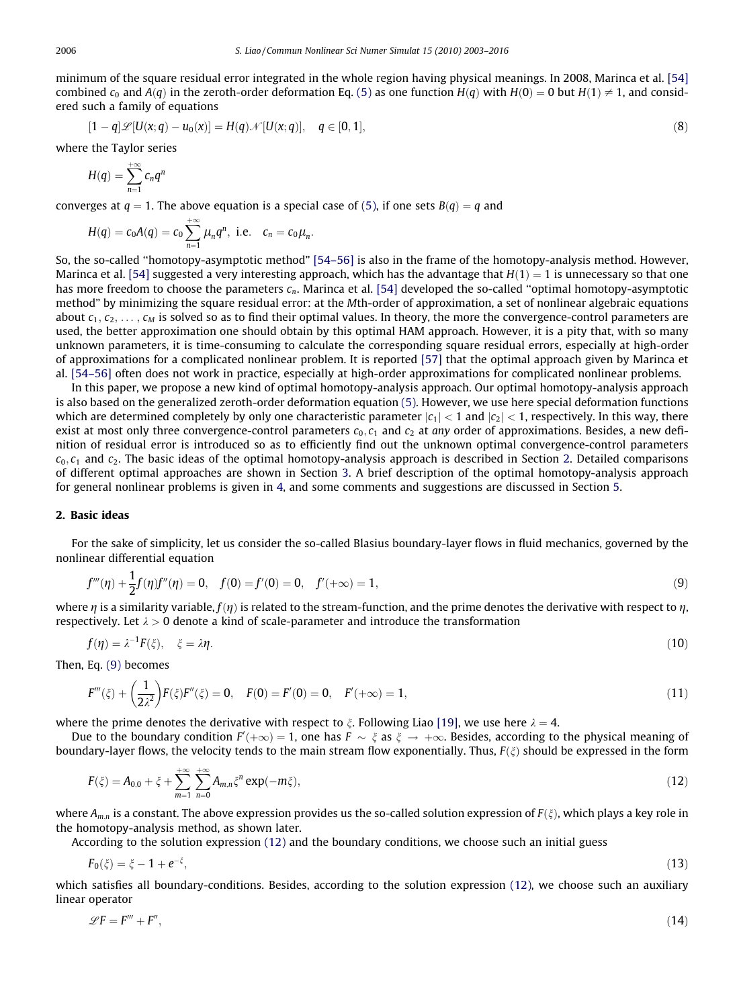<span id="page-3-0"></span>minimum of the square residual error integrated in the whole region having physical meanings. In 2008, Marinca et al. [\[54\]](#page-13-0) combined  $c_0$  and  $A(q)$  in the zeroth-order deformation Eq. [\(5\)](#page-2-0) as one function  $H(q)$  with  $H(0) = 0$  but  $H(1) \neq 1$ , and considered such a family of equations

$$
[1 - q] \mathcal{L}[U(x; q) - u_0(x)] = H(q) \mathcal{N}[U(x; q)], \quad q \in [0, 1], \tag{8}
$$

where the Taylor series

$$
H(q)=\sum_{n=1}^{+\infty}c_nq^n
$$

converges at  $q = 1$ . The above equation is a special case of [\(5\)](#page-2-0), if one sets  $B(q) = q$  and

$$
H(q)=c_0A(q)=c_0\sum_{n=1}^{+\infty}\mu_nq^n, \text{ i.e. } c_n=c_0\mu_n.
$$

So, the so-called ''homotopy-asymptotic method" [\[54–56\]](#page-13-0) is also in the frame of the homotopy-analysis method. However, Marinca et al. [\[54\]](#page-13-0) suggested a very interesting approach, which has the advantage that  $H(1) = 1$  is unnecessary so that one has more freedom to choose the parameters  $c_n$ . Marinca et al. [\[54\]](#page-13-0) developed the so-called "optimal homotopy-asymptotic method" by minimizing the square residual error: at the Mth-order of approximation, a set of nonlinear algebraic equations about  $c_1, c_2, \ldots, c_M$  is solved so as to find their optimal values. In theory, the more the convergence-control parameters are used, the better approximation one should obtain by this optimal HAM approach. However, it is a pity that, with so many unknown parameters, it is time-consuming to calculate the corresponding square residual errors, especially at high-order of approximations for a complicated nonlinear problem. It is reported [\[57\]](#page-13-0) that the optimal approach given by Marinca et al. [\[54–56\]](#page-13-0) often does not work in practice, especially at high-order approximations for complicated nonlinear problems.

In this paper, we propose a new kind of optimal homotopy-analysis approach. Our optimal homotopy-analysis approach is also based on the generalized zeroth-order deformation equation [\(5\).](#page-2-0) However, we use here special deformation functions which are determined completely by only one characteristic parameter  $|c_1| < 1$  and  $|c_2| < 1$ , respectively. In this way, there exist at most only three convergence-control parameters  $c_0$ ,  $c_1$  and  $c_2$  at any order of approximations. Besides, a new definition of residual error is introduced so as to efficiently find out the unknown optimal convergence-control parameters  $c_0$ ,  $c_1$  and  $c_2$ . The basic ideas of the optimal homotopy-analysis approach is described in Section 2. Detailed comparisons of different optimal approaches are shown in Section 3. A brief description of the optimal homotopy-analysis approach for general nonlinear problems is given in 4, and some comments and suggestions are discussed in Section 5.

### 2. Basic ideas

For the sake of simplicity, let us consider the so-called Blasius boundary-layer flows in fluid mechanics, governed by the nonlinear differential equation

$$
f'''(\eta) + \frac{1}{2}f(\eta)f''(\eta) = 0, \quad f(0) = f'(0) = 0, \quad f'(+\infty) = 1,
$$
\n(9)

where  $\eta$  is a similarity variable,  $f(\eta)$  is related to the stream-function, and the prime denotes the derivative with respect to  $\eta$ , respectively. Let  $\lambda > 0$  denote a kind of scale-parameter and introduce the transformation

$$
f(\eta) = \lambda^{-1} F(\zeta), \quad \zeta = \lambda \eta. \tag{10}
$$

Then, Eq. (9) becomes

$$
F'''(\xi) + \left(\frac{1}{2\lambda^2}\right) F(\xi) F''(\xi) = 0, \quad F(0) = F'(0) = 0, \quad F'(+\infty) = 1,
$$
\n(11)

where the prime denotes the derivative with respect to  $\zeta$ . Following Liao [\[19\],](#page-13-0) we use here  $\lambda = 4$ .

Due to the boundary condition  $F'(+\infty) = 1$ , one has  $F \sim \xi$  as  $\xi \to +\infty$ . Besides, according to the physical meaning of boundary-layer flows, the velocity tends to the main stream flow exponentially. Thus,  $F(\xi)$  should be expressed in the form

$$
F(\xi) = A_{0,0} + \xi + \sum_{m=1}^{+\infty} \sum_{n=0}^{+\infty} A_{m,n} \xi^n \exp(-m\xi),
$$
\n(12)

where  $A_{m,n}$  is a constant. The above expression provides us the so-called solution expression of  $F(\xi)$ , which plays a key role in the homotopy-analysis method, as shown later.

According to the solution expression (12) and the boundary conditions, we choose such an initial guess

$$
F_0(\xi) = \xi - 1 + e^{-\xi},\tag{13}
$$

which satisfies all boundary-conditions. Besides, according to the solution expression (12), we choose such an auxiliary linear operator

$$
\mathscr{L}F = F''' + F'',\tag{14}
$$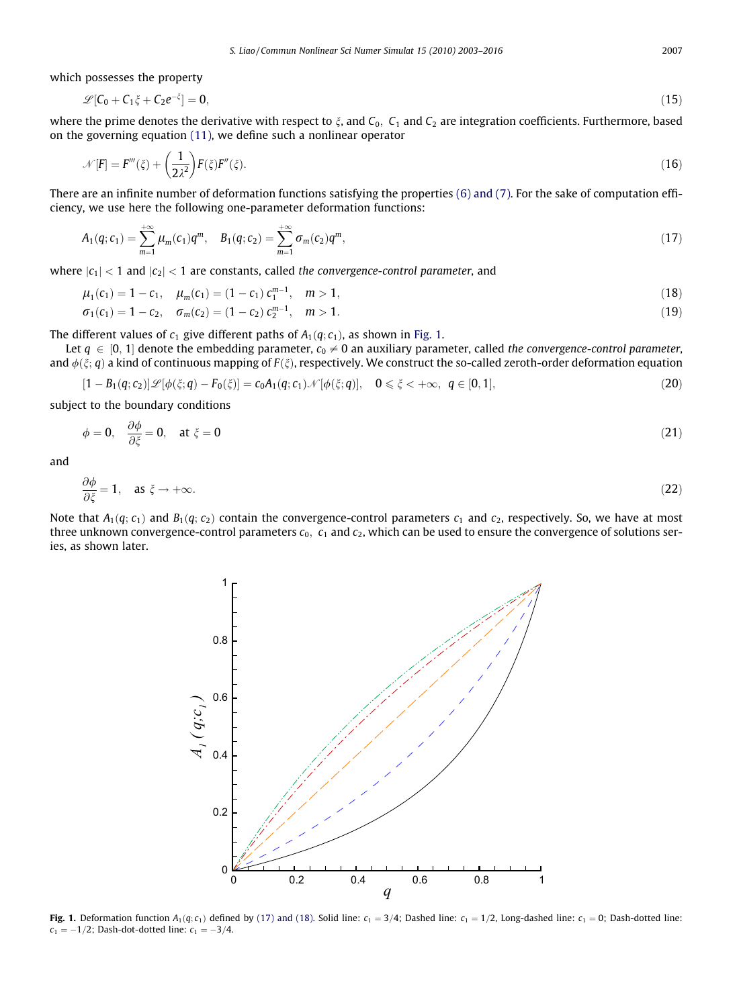<span id="page-4-0"></span>which possesses the property

$$
\mathcal{L}[C_0 + C_1\xi + C_2e^{-\xi}] = 0,\tag{15}
$$

where the prime denotes the derivative with respect to  $\xi$ , and  $C_0$ ,  $C_1$  and  $C_2$  are integration coefficients. Furthermore, based on the governing equation [\(11\),](#page-3-0) we define such a nonlinear operator

$$
\mathcal{N}[F] = F'''(\xi) + \left(\frac{1}{2\lambda^2}\right) F(\xi) F''(\xi). \tag{16}
$$

There are an infinite number of deformation functions satisfying the properties [\(6\) and \(7\)](#page-2-0). For the sake of computation efficiency, we use here the following one-parameter deformation functions:

$$
A_1(q;c_1) = \sum_{m=1}^{+\infty} \mu_m(c_1) q^m, \quad B_1(q;c_2) = \sum_{m=1}^{+\infty} \sigma_m(c_2) q^m,
$$
\n(17)

where  $|c_1|$  < 1 and  $|c_2|$  < 1 are constants, called the convergence-control parameter, and

$$
\mu_1(c_1) = 1 - c_1, \quad \mu_m(c_1) = (1 - c_1) c_1^{m-1}, \quad m > 1,
$$
\n(18)

$$
\sigma_1(c_1) = 1 - c_2, \quad \sigma_m(c_2) = (1 - c_2) c_2^{m-1}, \quad m > 1.
$$
\n(19)

The different values of  $c_1$  give different paths of  $A_1(q; c_1)$ , as shown in Fig. 1.

Let  $q\,\in\,[0,\,1]$  denote the embedding parameter,  $c_0\neq 0$  an auxiliary parameter, called *the convergence-control parameter*, and  $\phi(\xi; q)$  a kind of continuous mapping of  $F(\xi)$ , respectively. We construct the so-called zeroth-order deformation equation

$$
[1 - B_1(q; c_2)] \mathcal{L}[\phi(\xi; q) - F_0(\xi)] = c_0 A_1(q; c_1) \mathcal{N}[\phi(\xi; q)], \quad 0 \le \xi < +\infty, \ q \in [0, 1], \tag{20}
$$

subject to the boundary conditions

$$
\phi = 0, \quad \frac{\partial \phi}{\partial \xi} = 0, \quad \text{at } \xi = 0 \tag{21}
$$

and

$$
\frac{\partial \phi}{\partial \xi} = 1, \quad \text{as } \xi \to +\infty. \tag{22}
$$

Note that  $A_1(q; c_1)$  and  $B_1(q; c_2)$  contain the convergence-control parameters  $c_1$  and  $c_2$ , respectively. So, we have at most three unknown convergence-control parameters  $c_0$ ,  $c_1$  and  $c_2$ , which can be used to ensure the convergence of solutions series, as shown later.



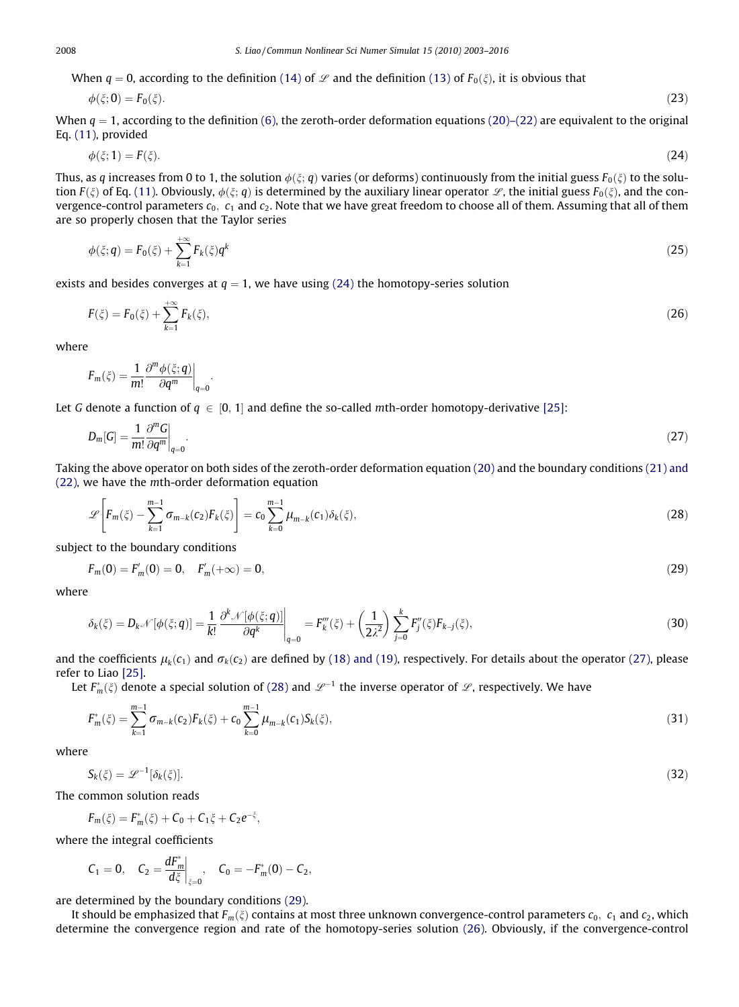When  $q = 0$ , according to the definition [\(14\)](#page-3-0) of  $\mathscr L$  and the definition [\(13\)](#page-3-0) of  $F_0(\xi)$ , it is obvious that

$$
\phi(\xi;0) = F_0(\xi). \tag{23}
$$

When  $q = 1$ , according to the definition [\(6\)](#page-2-0), the zeroth-order deformation equations [\(20\)–\(22\)](#page-4-0) are equivalent to the original Eq. [\(11\),](#page-3-0) provided

$$
\phi(\xi;1) = F(\xi). \tag{24}
$$

Thus, as q increases from 0 to 1, the solution  $\phi(\xi; q)$  varies (or deforms) continuously from the initial guess  $F_0(\xi)$  to the solution  $F(\xi)$  of Eq. [\(11\).](#page-3-0) Obviously,  $\phi(\xi, q)$  is determined by the auxiliary linear operator  $\mathscr{L}$ , the initial guess  $F_0(\xi)$ , and the convergence-control parameters  $c_0$ ,  $c_1$  and  $c_2$ . Note that we have great freedom to choose all of them. Assuming that all of them are so properly chosen that the Taylor series

$$
\phi(\xi; q) = F_0(\xi) + \sum_{k=1}^{+\infty} F_k(\xi) q^k \tag{25}
$$

exists and besides converges at  $q = 1$ , we have using (24) the homotopy-series solution

$$
F(\xi) = F_0(\xi) + \sum_{k=1}^{+\infty} F_k(\xi),
$$
\n(26)

where

$$
F_m(\xi) = \frac{1}{m!} \frac{\partial^m \phi(\xi; q)}{\partial q^m} \bigg|_{q=0}.
$$

Let G denote a function of  $q \in [0,1]$  and define the so-called mth-order homotopy-derivative [\[25\]:](#page-13-0)

$$
D_m[G] = \frac{1}{m!} \frac{\partial^m G}{\partial q^m} \bigg|_{q=0}.
$$
\n(27)

Taking the above operator on both sides of the zeroth-order deformation equation [\(20\)](#page-4-0) and the boundary conditions [\(21\) and](#page-4-0) [\(22\),](#page-4-0) we have the mth-order deformation equation

$$
\mathscr{L}\left[F_m(\zeta) - \sum_{k=1}^{m-1} \sigma_{m-k}(c_2) F_k(\zeta)\right] = c_0 \sum_{k=0}^{m-1} \mu_{m-k}(c_1) \delta_k(\zeta),\tag{28}
$$

subject to the boundary conditions

$$
F_m(0) = F'_m(0) = 0, \quad F'_m(+\infty) = 0,\tag{29}
$$

where

$$
\delta_k(\xi) = D_k \mathcal{N}[\phi(\xi; q)] = \frac{1}{k!} \frac{\partial^k \mathcal{N}[\phi(\xi; q)]}{\partial q^k} \bigg|_{q=0} = F_k'''(\xi) + \left(\frac{1}{2\lambda^2}\right) \sum_{j=0}^k F_j''(\xi) F_{k-j}(\xi), \tag{30}
$$

and the coefficients  $\mu_k(c_1)$  and  $\sigma_k(c_2)$  are defined by [\(18\) and \(19\),](#page-4-0) respectively. For details about the operator (27), please refer to Liao [\[25\].](#page-13-0)

Let  $\mathit{F}^*_m(\xi)$  denote a special solution of (28) and  $\mathscr{L}^{-1}$  the inverse operator of  $\mathscr{L}$ , respectively. We have

$$
F_m^*(\xi) = \sum_{k=1}^{m-1} \sigma_{m-k}(c_2) F_k(\xi) + c_0 \sum_{k=0}^{m-1} \mu_{m-k}(c_1) S_k(\xi), \tag{31}
$$

where

$$
S_k(\zeta) = \mathcal{L}^{-1}[\delta_k(\zeta)].
$$
\n(32)

The common solution reads

$$
F_m(\xi) = F_m^*(\xi) + C_0 + C_1\xi + C_2e^{-\xi},
$$

where the integral coefficients

$$
C_1=0,\quad C_2=\frac{dF_m^*}{d\zeta}\bigg|_{\zeta=0},\quad C_0=-F_m^*(0)-C_2,
$$

are determined by the boundary conditions (29).

It should be emphasized that  $F_m(\xi)$  contains at most three unknown convergence-control parameters  $c_0$ ,  $c_1$  and  $c_2$ , which determine the convergence region and rate of the homotopy-series solution (26). Obviously, if the convergence-control

<span id="page-5-0"></span>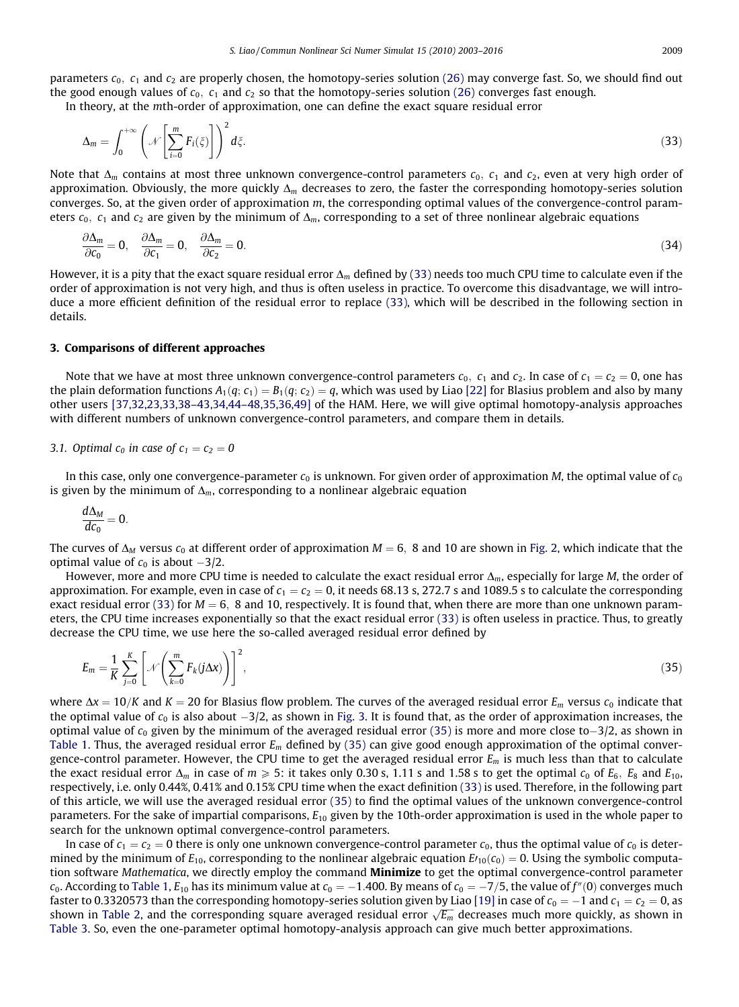<span id="page-6-0"></span>parameters  $c_0$ ,  $c_1$  and  $c_2$  are properly chosen, the homotopy-series solution [\(26\)](#page-5-0) may converge fast. So, we should find out the good enough values of  $c_0$ ,  $c_1$  and  $c_2$  so that the homotopy-series solution [\(26\)](#page-5-0) converges fast enough. In theory, at the mth-order of approximation, one can define the exact square residual error

$$
\Delta_m = \int_0^{+\infty} \left( \mathcal{N} \left[ \sum_{i=0}^m F_i(\zeta) \right] \right)^2 d\zeta. \tag{33}
$$

Note that  $\Delta_m$  contains at most three unknown convergence-control parameters  $c_0$ ,  $c_1$  and  $c_2$ , even at very high order of approximation. Obviously, the more quickly  $\Delta_m$  decreases to zero, the faster the corresponding homotopy-series solution converges. So, at the given order of approximation m, the corresponding optimal values of the convergence-control parameters  $c_0$ ,  $c_1$  and  $c_2$  are given by the minimum of  $\Delta_m$ , corresponding to a set of three nonlinear algebraic equations

$$
\frac{\partial \Delta_m}{\partial c_0} = 0, \quad \frac{\partial \Delta_m}{\partial c_1} = 0, \quad \frac{\partial \Delta_m}{\partial c_2} = 0.
$$
\n(34)

However, it is a pity that the exact square residual error  $\Delta_m$  defined by (33) needs too much CPU time to calculate even if the order of approximation is not very high, and thus is often useless in practice. To overcome this disadvantage, we will introduce a more efficient definition of the residual error to replace (33), which will be described in the following section in details.

### 3. Comparisons of different approaches

Note that we have at most three unknown convergence-control parameters  $c_0$ ,  $c_1$  and  $c_2$ . In case of  $c_1 = c_2 = 0$ , one has the plain deformation functions  $A_1(q; c_1) = B_1(q; c_2) = q$ , which was used by Liao [\[22\]](#page-13-0) for Blasius problem and also by many other users [\[37,32,23,33,38–43,34,44–48,35,36,49\]](#page-13-0) of the HAM. Here, we will give optimal homotopy-analysis approaches with different numbers of unknown convergence-control parameters, and compare them in details.

### 3.1. Optimal  $c_0$  in case of  $c_1 = c_2 = 0$

In this case, only one convergence-parameter  $c_0$  is unknown. For given order of approximation M, the optimal value of  $c_0$ is given by the minimum of  $\Delta_m$ , corresponding to a nonlinear algebraic equation

$$
\frac{d\Delta_M}{dc_0}=0.
$$

The curves of  $\Delta_M$  versus  $c_0$  at different order of approximation  $M = 6$ , 8 and 10 are shown in [Fig. 2,](#page-7-0) which indicate that the optimal value of  $c_0$  is about  $-3/2$ .

However, more and more CPU time is needed to calculate the exact residual error  $\Delta_m$ , especially for large M, the order of approximation. For example, even in case of  $c_1 = c_2 = 0$ , it needs 68.13 s, 272.7 s and 1089.5 s to calculate the corresponding exact residual error (33) for  $M = 6$ , 8 and 10, respectively. It is found that, when there are more than one unknown parameters, the CPU time increases exponentially so that the exact residual error (33) is often useless in practice. Thus, to greatly decrease the CPU time, we use here the so-called averaged residual error defined by

$$
E_m = \frac{1}{K} \sum_{j=0}^{K} \left[ \mathcal{N} \left( \sum_{k=0}^{m} F_k(j \Delta x) \right) \right]^2, \tag{35}
$$

where  $\Delta x = 10/K$  and  $K = 20$  for Blasius flow problem. The curves of the averaged residual error  $E_m$  versus  $c_0$  indicate that the optimal value of  $c_0$  is also about  $-3/2$ , as shown in [Fig. 3.](#page-7-0) It is found that, as the order of approximation increases, the optimal value of  $c_0$  given by the minimum of the averaged residual error (35) is more and more close to -3/2, as shown in [Table 1.](#page-8-0) Thus, the averaged residual error  $E_m$  defined by (35) can give good enough approximation of the optimal convergence-control parameter. However, the CPU time to get the averaged residual error  $E_m$  is much less than that to calculate the exact residual error  $\Delta_m$  in case of  $m \geq 5$ : it takes only 0.30 s, 1.11 s and 1.58 s to get the optimal  $c_0$  of  $E_6$ ,  $E_8$  and  $E_{10}$ , respectively, i.e. only 0.44%, 0.41% and 0.15% CPU time when the exact definition (33) is used. Therefore, in the following part of this article, we will use the averaged residual error (35) to find the optimal values of the unknown convergence-control parameters. For the sake of impartial comparisons,  $E_{10}$  given by the 10th-order approximation is used in the whole paper to search for the unknown optimal convergence-control parameters.

In case of  $c_1 = c_2 = 0$  there is only one unknown convergence-control parameter  $c_0$ , thus the optimal value of  $c_0$  is determined by the minimum of  $E_{10}$ , corresponding to the nonlinear algebraic equation  $E_{10}(c_0) = 0$ . Using the symbolic computation software Mathematica, we directly employ the command Minimize to get the optimal convergence-control parameter  $c_0$ . According to [Table 1](#page-8-0),  $E_{10}$  has its minimum value at  $c_0 = -1.400$ . By means of  $c_0 = -7/5$ , the value of  $f''(0)$  converges much faster to 0.3320573 than the corresponding homotopy-series solution given by Liao [\[19\]](#page-13-0) in case of  $c_0 = -1$  and  $c_1 = c_2 = 0$ , as shown in [Table 2,](#page-8-0) and the corresponding nonlotopy-series solution given by Elao [15] in case of  $c_0 = -1$  and  $c_1 = c_2 = 0$ , as shown in Table 2, and the corresponding square averaged residual error  $\sqrt{E_m}$  decreases much [Table 3.](#page-8-0) So, even the one-parameter optimal homotopy-analysis approach can give much better approximations.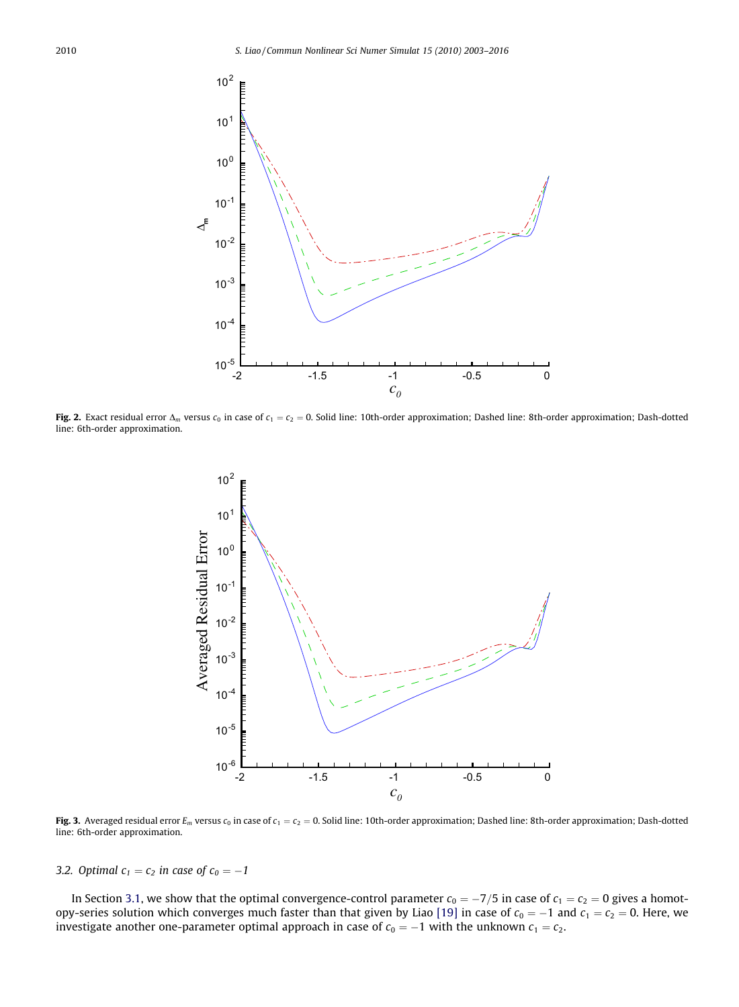<span id="page-7-0"></span>

Fig. 2. Exact residual error  $\Delta_m$  versus  $c_0$  in case of  $c_1 = c_2 = 0$ . Solid line: 10th-order approximation; Dashed line: 8th-order approximation; Dash-dotted line: 6th-order approximation.



Fig. 3. Averaged residual error  $E_m$  versus  $c_0$  in case of  $c_1 = c_2 = 0$ . Solid line: 10th-order approximation; Dashed line: 8th-order approximation; Dash-dotted line: 6th-order approximation.

# 3.2. Optimal  $c_1 = c_2$  in case of  $c_0 = -1$

In Section 3.1, we show that the optimal convergence-control parameter  $c_0 = -7/5$  in case of  $c_1 = c_2 = 0$  gives a homot-opy-series solution which converges much faster than that given by Liao [\[19\]](#page-13-0) in case of  $c_0 = -1$  and  $c_1 = c_2 = 0$ . Here, we investigate another one-parameter optimal approach in case of  $c_0 = -1$  with the unknown  $c_1 = c_2$ .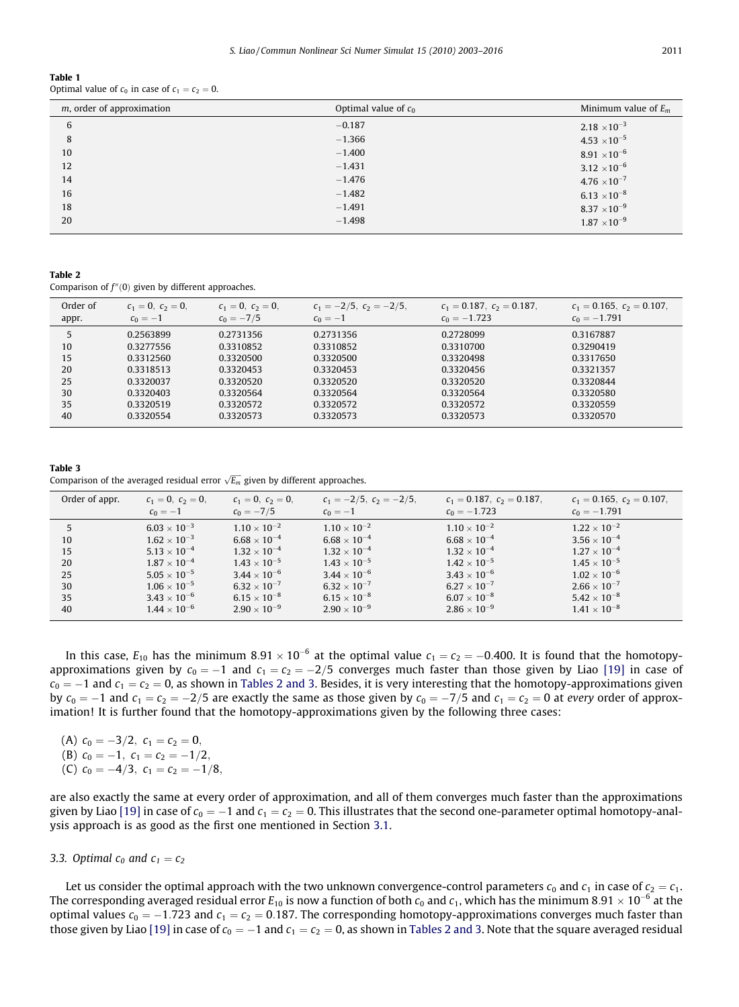#### <span id="page-8-0"></span>Table 1 Optimal value of  $c_0$  in case of  $c_1 = c_2 = 0$ .

| m, order of approximation | Optimal value of $c_0$ | Minimum value of $E_m$ |
|---------------------------|------------------------|------------------------|
| 6                         | $-0.187$               | $2.18 \times 10^{-3}$  |
| 8                         | $-1.366$               | $4.53 \times 10^{-5}$  |
| 10                        | $-1.400$               | $8.91 \times 10^{-6}$  |
| 12                        | $-1.431$               | $3.12 \times 10^{-6}$  |
| 14                        | $-1.476$               | $4.76 \times 10^{-7}$  |
| 16                        | $-1.482$               | $6.13 \times 10^{-8}$  |
| 18                        | $-1.491$               | 8.37 $\times 10^{-9}$  |
| 20                        | $-1.498$               | $1.87 \times 10^{-9}$  |

|--|--|

Comparison of  $f''(0)$  given by different approaches.

| Order of<br>appr. | $c_1 = 0, c_2 = 0,$<br>$c_0 = -1$ | $c_1 = 0, c_2 = 0,$<br>$c_0 = -7/5$ | $c_1 = -2/5$ , $c_2 = -2/5$ ,<br>$c_0 = -1$ | $c_1 = 0.187$ , $c_2 = 0.187$ ,<br>$c_0 = -1.723$ | $c_1 = 0.165$ , $c_2 = 0.107$ ,<br>$c_0 = -1.791$ |
|-------------------|-----------------------------------|-------------------------------------|---------------------------------------------|---------------------------------------------------|---------------------------------------------------|
|                   | 0.2563899                         | 0.2731356                           | 0.2731356                                   | 0.2728099                                         | 0.3167887                                         |
| 10                | 0.3277556                         | 0.3310852                           | 0.3310852                                   | 0.3310700                                         | 0.3290419                                         |
| 15                | 0.3312560                         | 0.3320500                           | 0.3320500                                   | 0.3320498                                         | 0.3317650                                         |
| 20                | 0.3318513                         | 0.3320453                           | 0.3320453                                   | 0.3320456                                         | 0.3321357                                         |
| 25                | 0.3320037                         | 0.3320520                           | 0.3320520                                   | 0.3320520                                         | 0.3320844                                         |
| 30                | 0.3320403                         | 0.3320564                           | 0.3320564                                   | 0.3320564                                         | 0.3320580                                         |
| 35                | 0.3320519                         | 0.3320572                           | 0.3320572                                   | 0.3320572                                         | 0.3320559                                         |
| 40                | 0.3320554                         | 0.3320573                           | 0.3320573                                   | 0.3320573                                         | 0.3320570                                         |

Table 3 **Comparison of the averaged residual error**  $\sqrt{E_m}$  given by different approaches.

| Order of appr. | $c_1 = 0, c_2 = 0,$<br>$c_0 = -1$ | $c_1 = 0, c_2 = 0,$<br>$c_0 = -7/5$ | $c_1 = -2/5, c_2 = -2/5,$<br>$c_0 = -1$ | $c_1 = 0.187$ , $c_2 = 0.187$ ,<br>$c_0 = -1.723$ | $c_1 = 0.165$ , $c_2 = 0.107$ ,<br>$c_0 = -1.791$ |
|----------------|-----------------------------------|-------------------------------------|-----------------------------------------|---------------------------------------------------|---------------------------------------------------|
|                | $6.03 \times 10^{-3}$             | $1.10 \times 10^{-2}$               | $1.10 \times 10^{-2}$                   | $1.10 \times 10^{-2}$                             | $1.22 \times 10^{-2}$                             |
| 10             | $1.62 \times 10^{-3}$             | $6.68\times10^{-4}$                 | $6.68 \times 10^{-4}$                   | $6.68 \times 10^{-4}$                             | $3.56 \times 10^{-4}$                             |
| 15             | $5.13 \times 10^{-4}$             | $1.32 \times 10^{-4}$               | $1.32 \times 10^{-4}$                   | $1.32 \times 10^{-4}$                             | $1.27 \times 10^{-4}$                             |
| 20             | $1.87\times10^{-4}$               | $1.43 \times 10^{-5}$               | $1.43 \times 10^{-5}$                   | $1.42 \times 10^{-5}$                             | $1.45 \times 10^{-5}$                             |
| 25             | $5.05 \times 10^{-5}$             | $3.44 \times 10^{-6}$               | $3.44 \times 10^{-6}$                   | $3.43 \times 10^{-6}$                             | $1.02 \times 10^{-6}$                             |
| 30             | $1.06 \times 10^{-5}$             | $6.32 \times 10^{-7}$               | $6.32 \times 10^{-7}$                   | $6.27 \times 10^{-7}$                             | $2.66 \times 10^{-7}$                             |
| 35             | $3.43 \times 10^{-6}$             | $6.15 \times 10^{-8}$               | $6.15 \times 10^{-8}$                   | $6.07 \times 10^{-8}$                             | $5.42 \times 10^{-8}$                             |
| 40             | $1.44 \times 10^{-6}$             | $2.90 \times 10^{-9}$               | $2.90 \times 10^{-9}$                   | $2.86 \times 10^{-9}$                             | $1.41 \times 10^{-8}$                             |

In this case,  $E_{10}$  has the minimum  $8.91 \times 10^{-6}$  at the optimal value  $c_1 = c_2 = -0.400$ . It is found that the homotopyapproximations given by  $c_0 = -1$  and  $c_1 = c_2 = -2/5$  converges much faster than those given by Liao [\[19\]](#page-13-0) in case of  $c_0 = -1$  and  $c_1 = c_2 = 0$ , as shown in Tables 2 and 3. Besides, it is very interesting that the homotopy-approximations given by  $c_0 = -1$  and  $c_1 = c_2 = -2/5$  are exactly the same as those given by  $c_0 = -7/5$  and  $c_1 = c_2 = 0$  at every order of approximation! It is further found that the homotopy-approximations given by the following three cases:

- (A)  $c_0 = -3/2$ ,  $c_1 = c_2 = 0$ ,
- (B)  $c_0 = -1, c_1 = c_2 = -1/2,$
- (C)  $c_0 = -4/3$ ,  $c_1 = c_2 = -1/8$ ,

are also exactly the same at every order of approximation, and all of them converges much faster than the approximations given by Liao [\[19\]](#page-13-0) in case of  $c_0 = -1$  and  $c_1 = c_2 = 0$ . This illustrates that the second one-parameter optimal homotopy-analysis approach is as good as the first one mentioned in Section 3.1.

3.3. Optimal  $c_0$  and  $c_1 = c_2$ 

Let us consider the optimal approach with the two unknown convergence-control parameters  $c_0$  and  $c_1$  in case of  $c_2 = c_1$ . The corresponding averaged residual error  $E_{10}$  is now a function of both  $c_0$  and  $c_1$ , which has the minimum 8.91  $\times$  10<sup>-6</sup> at the optimal values  $c_0 = -1.723$  and  $c_1 = c_2 = 0.187$ . The corresponding homotopy-approximations converges much faster than those given by Liao [\[19\]](#page-13-0) in case of  $c_0 = -1$  and  $c_1 = c_2 = 0$ , as shown in Tables 2 and 3. Note that the square averaged residual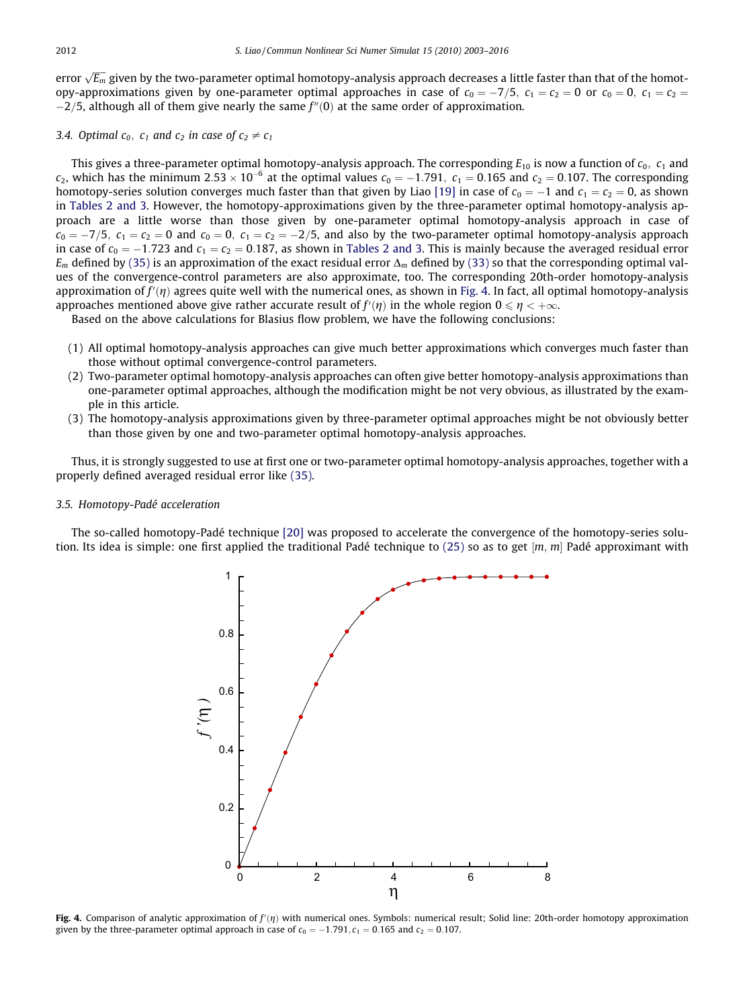error  $\sqrt{E_m}$  given by the two-parameter optimal homotopy-analysis approach decreases a little faster than that of the homotopy-approximations given by one-parameter optimal approaches in case of  $c_0 = -7/5$ ,  $c_1 = c_2 = 0$  or  $c_0 = 0$ ,  $c_1 = c_2 = 0$  $-2/5$ , although all of them give nearly the same  $f''(0)$  at the same order of approximation.

## 3.4. Optimal  $c_0$ ,  $c_1$  and  $c_2$  in case of  $c_2 \neq c_1$

This gives a three-parameter optimal homotopy-analysis approach. The corresponding  $E_{10}$  is now a function of  $c_0$ ,  $c_1$  and  $c_2$ , which has the minimum 2.53  $\times$  10<sup>-6</sup> at the optimal values  $c_0 = -1.791$ ,  $c_1 = 0.165$  and  $c_2 = 0.107$ . The corresponding homotopy-series solution converges much faster than that given by Liao [\[19\]](#page-13-0) in case of  $c_0 = -1$  and  $c_1 = c_2 = 0$ , as shown in [Tables 2 and 3](#page-8-0). However, the homotopy-approximations given by the three-parameter optimal homotopy-analysis approach are a little worse than those given by one-parameter optimal homotopy-analysis approach in case of  $c_0 = -7/5$ ,  $c_1 = c_2 = 0$  and  $c_0 = 0$ ,  $c_1 = c_2 = -2/5$ , and also by the two-parameter optimal homotopy-analysis approach in case of  $c_0 = -1.723$  and  $c_1 = c_2 = 0.187$ , as shown in [Tables 2 and 3](#page-8-0). This is mainly because the averaged residual error  $E_m$  defined by [\(35\)](#page-6-0) is an approximation of the exact residual error  $\Delta_m$  defined by [\(33\)](#page-6-0) so that the corresponding optimal values of the convergence-control parameters are also approximate, too. The corresponding 20th-order homotopy-analysis approximation of  $f'(\eta)$  agrees quite well with the numerical ones, as shown in Fig. 4. In fact, all optimal homotopy-analysis approaches mentioned above give rather accurate result of  $f'(\eta)$  in the whole region  $0 \le \eta < +\infty$ .

Based on the above calculations for Blasius flow problem, we have the following conclusions:

- (1) All optimal homotopy-analysis approaches can give much better approximations which converges much faster than those without optimal convergence-control parameters.
- (2) Two-parameter optimal homotopy-analysis approaches can often give better homotopy-analysis approximations than one-parameter optimal approaches, although the modification might be not very obvious, as illustrated by the example in this article.
- (3) The homotopy-analysis approximations given by three-parameter optimal approaches might be not obviously better than those given by one and two-parameter optimal homotopy-analysis approaches.

Thus, it is strongly suggested to use at first one or two-parameter optimal homotopy-analysis approaches, together with a properly defined averaged residual error like [\(35\).](#page-6-0)

### 3.5. Homotopy-Padé acceleration

The so-called homotopy-Padé technique [\[20\]](#page-13-0) was proposed to accelerate the convergence of the homotopy-series solu-tion. Its idea is simple: one first applied the traditional Padé technique to [\(25\)](#page-5-0) so as to get  $[m, m]$  Padé approximant with



Fig. 4. Comparison of analytic approximation of  $f'(\eta)$  with numerical ones. Symbols: numerical result; Solid line: 20th-order homotopy approximation given by the three-parameter optimal approach in case of  $c_0 = -1.791$ ,  $c_1 = 0.165$  and  $c_2 = 0.107$ .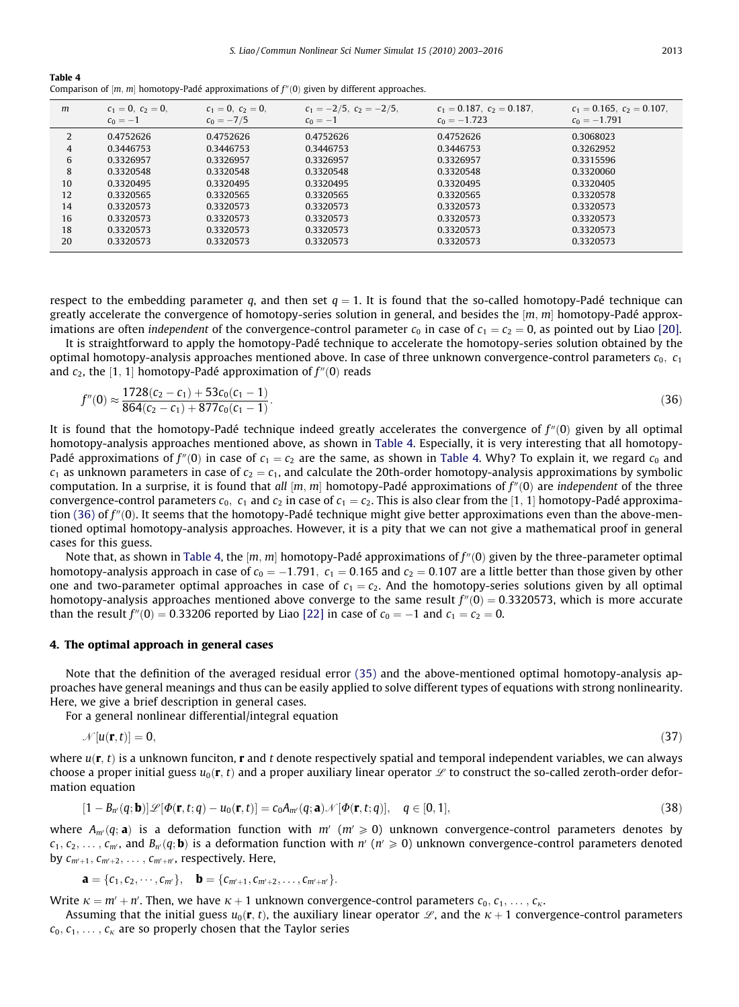<span id="page-10-0"></span>Table 4 Comparison of  $[m, m]$  homotopy-Padé approximations of  $f''(0)$  given by different approaches.

| m  | $c_1 = 0, c_2 = 0,$<br>$c_0 = -1$ | $c_1 = 0, c_2 = 0,$<br>$c_0 = -7/5$ | $c_1 = -2/5, c_2 = -2/5,$<br>$c_0 = -1$ | $c_1 = 0.187$ , $c_2 = 0.187$ ,<br>$c_0 = -1.723$ | $c_1 = 0.165$ , $c_2 = 0.107$ ,<br>$c_0 = -1.791$ |
|----|-----------------------------------|-------------------------------------|-----------------------------------------|---------------------------------------------------|---------------------------------------------------|
|    | 0.4752626                         | 0.4752626                           | 0.4752626                               | 0.4752626                                         | 0.3068023                                         |
| 4  | 0.3446753                         | 0.3446753                           | 0.3446753                               | 0.3446753                                         | 0.3262952                                         |
| 6  | 0.3326957                         | 0.3326957                           | 0.3326957                               | 0.3326957                                         | 0.3315596                                         |
| 8  | 0.3320548                         | 0.3320548                           | 0.3320548                               | 0.3320548                                         | 0.3320060                                         |
| 10 | 0.3320495                         | 0.3320495                           | 0.3320495                               | 0.3320495                                         | 0.3320405                                         |
| 12 | 0.3320565                         | 0.3320565                           | 0.3320565                               | 0.3320565                                         | 0.3320578                                         |
| 14 | 0.3320573                         | 0.3320573                           | 0.3320573                               | 0.3320573                                         | 0.3320573                                         |
| 16 | 0.3320573                         | 0.3320573                           | 0.3320573                               | 0.3320573                                         | 0.3320573                                         |
| 18 | 0.3320573                         | 0.3320573                           | 0.3320573                               | 0.3320573                                         | 0.3320573                                         |
| 20 | 0.3320573                         | 0.3320573                           | 0.3320573                               | 0.3320573                                         | 0.3320573                                         |

respect to the embedding parameter q, and then set  $q = 1$ . It is found that the so-called homotopy-Padé technique can greatly accelerate the convergence of homotopy-series solution in general, and besides the  $[m,m]$  homotopy-Padé approximations are often *independent* of the convergence-control parameter  $c_0$  in case of  $c_1 = c_2 = 0$ , as pointed out by Liao [\[20\]](#page-13-0).

It is straightforward to apply the homotopy-Padé technique to accelerate the homotopy-series solution obtained by the optimal homotopy-analysis approaches mentioned above. In case of three unknown convergence-control parameters  $c_0$ ,  $c_1$ and  $c_2$ , the  $\left[1, 1\right]$  homotopy-Padé approximation of  $f''(0)$  reads

$$
f''(0) \approx \frac{1728(c_2 - c_1) + 53c_0(c_1 - 1)}{864(c_2 - c_1) + 877c_0(c_1 - 1)}.
$$
\n(36)

It is found that the homotopy-Padé technique indeed greatly accelerates the convergence of  $f''(0)$  given by all optimal homotopy-analysis approaches mentioned above, as shown in Table 4. Especially, it is very interesting that all homotopy-Padé approximations of  $f''(0)$  in case of  $c_1 = c_2$  are the same, as shown in Table 4. Why? To explain it, we regard  $c_0$  and  $c_1$  as unknown parameters in case of  $c_2 = c_1$ , and calculate the 20th-order homotopy-analysis approximations by symbolic computation. In a surprise, it is found that all  $[m,m]$  homotopy-Padé approximations of  $f''(0)$  are independent of the three convergence-control parameters  $c_0,\ c_1$  and  $c_2$  in case of  $c_1=c_2.$  This is also clear from the  $[1,\ 1]$  homotopy-Padé approximation (36) of  $f''(0)$ . It seems that the homotopy-Padé technique might give better approximations even than the above-mentioned optimal homotopy-analysis approaches. However, it is a pity that we can not give a mathematical proof in general cases for this guess.

Note that, as shown in Table 4, the  $[m,\,m]$  homotopy-Padé approximations of  $f''(0)$  given by the three-parameter optimal homotopy-analysis approach in case of  $c_0 = -1.791$ ,  $c_1 = 0.165$  and  $c_2 = 0.107$  are a little better than those given by other one and two-parameter optimal approaches in case of  $c_1 = c_2$ . And the homotopy-series solutions given by all optimal homotopy-analysis approaches mentioned above converge to the same result  $f''(0) = 0.3320573$ , which is more accurate than the result  $f''(0) = 0.33206$  reported by Liao [\[22\]](#page-13-0) in case of  $c_0 = -1$  and  $c_1 = c_2 = 0$ .

### 4. The optimal approach in general cases

Note that the definition of the averaged residual error [\(35\)](#page-6-0) and the above-mentioned optimal homotopy-analysis approaches have general meanings and thus can be easily applied to solve different types of equations with strong nonlinearity. Here, we give a brief description in general cases.

For a general nonlinear differential/integral equation

$$
\mathcal{N}[u(\mathbf{r},t)] = 0,\tag{37}
$$

where  $u(\mathbf{r}, t)$  is a unknown funciton,  $\mathbf{r}$  and t denote respectively spatial and temporal independent variables, we can always choose a proper initial guess  $u_0(\mathbf{r}, t)$  and a proper auxiliary linear operator  $\mathscr L$  to construct the so-called zeroth-order deformation equation

$$
[1 - B_{n'}(q; \mathbf{b})] \mathscr{L}[\Phi(\mathbf{r}, t; q) - u_0(\mathbf{r}, t)] = c_0 A_{m'}(q; \mathbf{a}) \mathscr{N}[\Phi(\mathbf{r}, t; q)], \quad q \in [0, 1], \tag{38}
$$

where  $A_{m'}(q; \mathbf{a})$  is a deformation function with  $m'$  ( $m' \geq 0$ ) unknown convergence-control parameters denotes by  $c_1, c_2, \ldots, c_{m'}$ , and  $B_{n'}(q; \mathbf{b})$  is a deformation function with  $n'$  ( $n' \ge 0$ ) unknown convergence-control parameters denoted by  $c_{m'+1}, c_{m'+2}, \ldots, c_{m'+n'}$ , respectively. Here,

 $\mathbf{a} = \{c_1, c_2, \cdots, c_{m'}\}, \quad \mathbf{b} = \{c_{m'+1}, c_{m'+2}, \ldots, c_{m'+n'}\}.$ 

Write  $\kappa = m' + n'$ . Then, we have  $\kappa + 1$  unknown convergence-control parameters  $c_0, c_1, \ldots, c_{\kappa}$ .

Assuming that the initial guess  $u_0(\mathbf{r}, t)$ , the auxiliary linear operator  $\mathscr{L}$ , and the  $\kappa + 1$  convergence-control parameters  $c_0, c_1, \ldots, c_k$  are so properly chosen that the Taylor series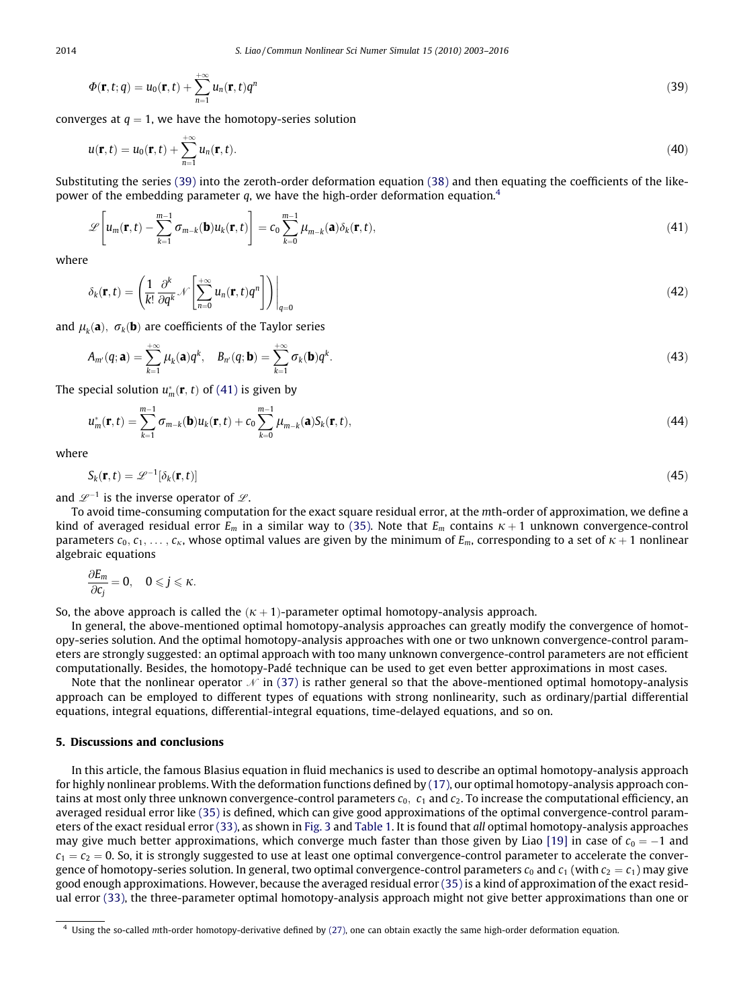2014 S. Liao / Commun Nonlinear Sci Numer Simulat 15 (2010) 2003–2016

$$
\Phi(\mathbf{r},t;q) = u_0(\mathbf{r},t) + \sum_{n=1}^{+\infty} u_n(\mathbf{r},t)q^n
$$
\n(39)

converges at  $q = 1$ , we have the homotopy-series solution

$$
u(\mathbf{r},t) = u_0(\mathbf{r},t) + \sum_{n=1}^{+\infty} u_n(\mathbf{r},t).
$$
\n(40)

Substituting the series (39) into the zeroth-order deformation equation [\(38\)](#page-10-0) and then equating the coefficients of the likepower of the embedding parameter q, we have the high-order deformation equation.<sup>4</sup>

$$
\mathscr{L}\left[u_m(\mathbf{r},t)-\sum_{k=1}^{m-1}\sigma_{m-k}(\mathbf{b})u_k(\mathbf{r},t)\right]=c_0\sum_{k=0}^{m-1}\mu_{m-k}(\mathbf{a})\delta_k(\mathbf{r},t),\tag{41}
$$

where

$$
\delta_k(\mathbf{r},t) = \left(\frac{1}{k!} \frac{\partial^k}{\partial q^k} \mathcal{N}\left[\sum_{n=0}^{+\infty} u_n(\mathbf{r},t) q^n\right]\right)\bigg|_{q=0} \tag{42}
$$

and  $\mu_{\nu}(\mathbf{a})$ ,  $\sigma_{k}(\mathbf{b})$  are coefficients of the Taylor series

$$
A_{m'}(q; \mathbf{a}) = \sum_{k=1}^{+\infty} \mu_k(\mathbf{a}) q^k, \quad B_{n'}(q; \mathbf{b}) = \sum_{k=1}^{+\infty} \sigma_k(\mathbf{b}) q^k.
$$
\n(43)

The special solution  $u_m^*(\mathbf{r}, t)$  of (41) is given by

$$
u_m^*(\mathbf{r},t) = \sum_{k=1}^{m-1} \sigma_{m-k}(\mathbf{b}) u_k(\mathbf{r},t) + c_0 \sum_{k=0}^{m-1} \mu_{m-k}(\mathbf{a}) S_k(\mathbf{r},t),
$$
\n(44)

where

$$
S_k(\mathbf{r},t) = \mathcal{L}^{-1}[\delta_k(\mathbf{r},t)] \tag{45}
$$

and  $\mathscr{L}^{-1}$  is the inverse operator of  $\mathscr{L}$ .

To avoid time-consuming computation for the exact square residual error, at the mth-order of approximation, we define a kind of averaged residual error  $E_m$  in a similar way to [\(35\).](#page-6-0) Note that  $E_m$  contains  $\kappa + 1$  unknown convergence-control parameters  $c_0, c_1, \ldots, c_{\kappa}$ , whose optimal values are given by the minimum of  $E_m$ , corresponding to a set of  $\kappa + 1$  nonlinear algebraic equations

$$
\frac{\partial E_m}{\partial c_j}=0,\quad 0\leqslant j\leqslant \kappa.
$$

So, the above approach is called the  $(\kappa + 1)$ -parameter optimal homotopy-analysis approach.

In general, the above-mentioned optimal homotopy-analysis approaches can greatly modify the convergence of homotopy-series solution. And the optimal homotopy-analysis approaches with one or two unknown convergence-control parameters are strongly suggested: an optimal approach with too many unknown convergence-control parameters are not efficient computationally. Besides, the homotopy-Padé technique can be used to get even better approximations in most cases.

Note that the nonlinear operator  $\mathcal N$  in [\(37\)](#page-10-0) is rather general so that the above-mentioned optimal homotopy-analysis approach can be employed to different types of equations with strong nonlinearity, such as ordinary/partial differential equations, integral equations, differential-integral equations, time-delayed equations, and so on.

## 5. Discussions and conclusions

In this article, the famous Blasius equation in fluid mechanics is used to describe an optimal homotopy-analysis approach for highly nonlinear problems. With the deformation functions defined by [\(17\)](#page-4-0), our optimal homotopy-analysis approach contains at most only three unknown convergence-control parameters  $c_0$ ,  $c_1$  and  $c_2$ . To increase the computational efficiency, an averaged residual error like [\(35\)](#page-6-0) is defined, which can give good approximations of the optimal convergence-control parameters of the exact residual error [\(33\),](#page-6-0) as shown in [Fig. 3](#page-7-0) and [Table 1.](#page-8-0) It is found that all optimal homotopy-analysis approaches may give much better approximations, which converge much faster than those given by Liao [\[19\]](#page-13-0) in case of  $c_0 = -1$  and  $c_1 = c_2 = 0$ . So, it is strongly suggested to use at least one optimal convergence-control parameter to accelerate the convergence of homotopy-series solution. In general, two optimal convergence-control parameters  $c_0$  and  $c_1$  (with  $c_2 = c_1$ ) may give good enough approximations. However, because the averaged residual error [\(35\)](#page-6-0) is a kind of approximation of the exact residual error [\(33\),](#page-6-0) the three-parameter optimal homotopy-analysis approach might not give better approximations than one or

<sup>4</sup> Using the so-called mth-order homotopy-derivative defined by [\(27\),](#page-5-0) one can obtain exactly the same high-order deformation equation.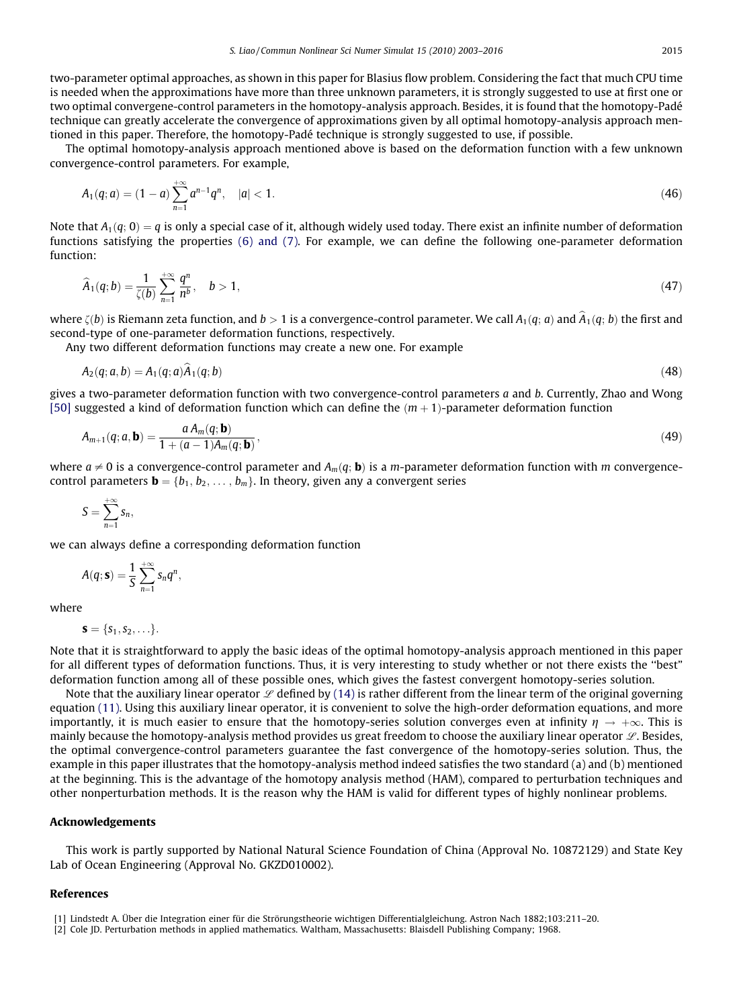<span id="page-12-0"></span>two-parameter optimal approaches, as shown in this paper for Blasius flow problem. Considering the fact that much CPU time is needed when the approximations have more than three unknown parameters, it is strongly suggested to use at first one or two optimal convergene-control parameters in the homotopy-analysis approach. Besides, it is found that the homotopy-Padé technique can greatly accelerate the convergence of approximations given by all optimal homotopy-analysis approach mentioned in this paper. Therefore, the homotopy-Padé technique is strongly suggested to use, if possible.

The optimal homotopy-analysis approach mentioned above is based on the deformation function with a few unknown convergence-control parameters. For example,

$$
A_1(q; a) = (1 - a) \sum_{n=1}^{+\infty} a^{n-1} q^n, \quad |a| < 1. \tag{46}
$$

Note that  $A_1(q; 0) = q$  is only a special case of it, although widely used today. There exist an infinite number of deformation functions satisfying the properties [\(6\) and \(7\)](#page-2-0). For example, we can define the following one-parameter deformation function:

$$
\widehat{A}_1(q;b) = \frac{1}{\zeta(b)} \sum_{n=1}^{+\infty} \frac{q^n}{n^b}, \quad b > 1,
$$
\n
$$
(47)
$$

where  $\zeta(b)$  is Riemann zeta function, and  $b>1$  is a convergence-control parameter. We call  $A_1(q;\,a)$  and  $A_1(q;\,b)$  the first and second-type of one-parameter deformation functions, respectively.

Any two different deformation functions may create a new one. For example

$$
A_2(q; a, b) = A_1(q; a)A_1(q; b)
$$
\n<sup>(48)</sup>

gives a two-parameter deformation function with two convergence-control parameters  $a$  and  $b$ . Currently, Zhao and Wong [\[50\]](#page-13-0) suggested a kind of deformation function which can define the  $(m + 1)$ -parameter deformation function

$$
A_{m+1}(q; a, \mathbf{b}) = \frac{a A_m(q; \mathbf{b})}{1 + (a-1) A_m(q; \mathbf{b})},\tag{49}
$$

where  $a \neq 0$  is a convergence-control parameter and  $A_m(q; \mathbf{b})$  is a *m*-parameter deformation function with *m* convergencecontrol parameters  $\mathbf{b} = \{b_1, b_2, \ldots, b_m\}$ . In theory, given any a convergent series

$$
S=\sum_{n=1}^{+\infty}S_n,
$$

we can always define a corresponding deformation function

$$
A(q; \mathbf{s}) = \frac{1}{S} \sum_{n=1}^{+\infty} s_n q^n,
$$

where

$$
\textbf{s}=\{s_1,s_2,\ldots\}.
$$

Note that it is straightforward to apply the basic ideas of the optimal homotopy-analysis approach mentioned in this paper for all different types of deformation functions. Thus, it is very interesting to study whether or not there exists the ''best" deformation function among all of these possible ones, which gives the fastest convergent homotopy-series solution.

Note that the auxiliary linear operator  $\mathscr L$  defined by [\(14\)](#page-3-0) is rather different from the linear term of the original governing equation [\(11\).](#page-3-0) Using this auxiliary linear operator, it is convenient to solve the high-order deformation equations, and more importantly, it is much easier to ensure that the homotopy-series solution converges even at infinity  $\eta \to +\infty$ . This is mainly because the homotopy-analysis method provides us great freedom to choose the auxiliary linear operator  $\mathscr{L}$ . Besides, the optimal convergence-control parameters guarantee the fast convergence of the homotopy-series solution. Thus, the example in this paper illustrates that the homotopy-analysis method indeed satisfies the two standard (a) and (b) mentioned at the beginning. This is the advantage of the homotopy analysis method (HAM), compared to perturbation techniques and other nonperturbation methods. It is the reason why the HAM is valid for different types of highly nonlinear problems.

### Acknowledgements

This work is partly supported by National Natural Science Foundation of China (Approval No. 10872129) and State Key Lab of Ocean Engineering (Approval No. GKZD010002).

#### References

[2] Cole JD. Perturbation methods in applied mathematics. Waltham, Massachusetts: Blaisdell Publishing Company; 1968.

<sup>[1]</sup> Lindstedt A. Über die Integration einer für die Strörungstheorie wichtigen Differentialgleichung. Astron Nach 1882;103:211–20.